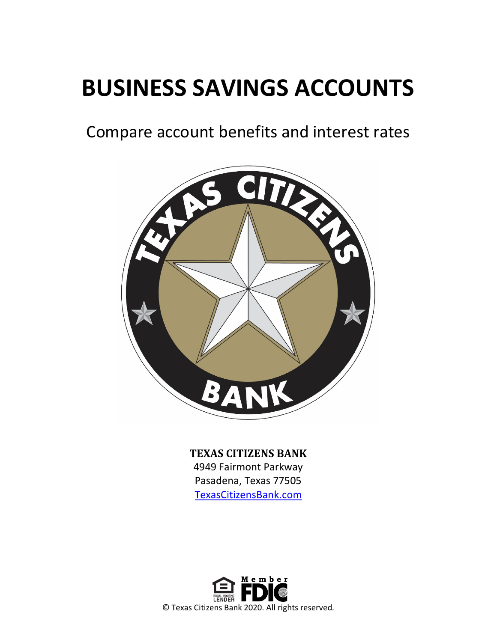# **BUSINESS SAVINGS ACCOUNTS**

## Compare account benefits and interest rates



**TEXAS CITIZENS BANK**

4949 Fairmont Parkway Pasadena, Texas 77505 [TexasCitizensBank.com](http://www.texascitizensbank.com/)

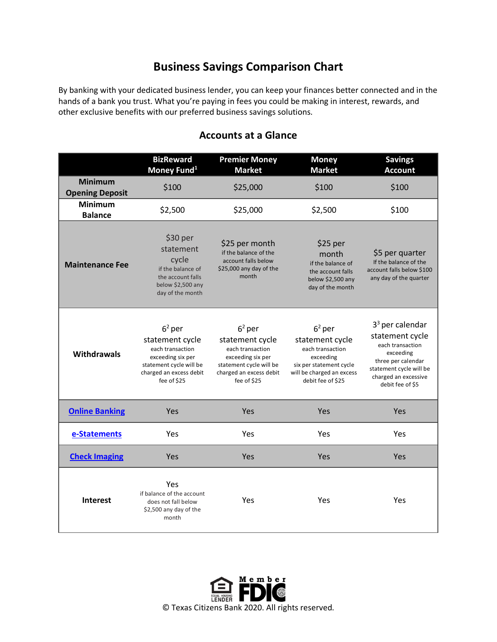### **Business Savings Comparison Chart**

By banking with your dedicated business lender, you can keep your finances better connected and in the hands of a bank you trust. What you're paying in fees you could be making in interest, rewards, and other exclusive benefits with our preferred business savings solutions.

|                                          | <b>BizReward</b><br>Money Fund <sup>1</sup>                                                                                               | <b>Premier Money</b><br><b>Market</b>                                                                                                     | <b>Money</b><br><b>Market</b>                                                                                                             | <b>Savings</b><br><b>Account</b>                                                                                                                                   |
|------------------------------------------|-------------------------------------------------------------------------------------------------------------------------------------------|-------------------------------------------------------------------------------------------------------------------------------------------|-------------------------------------------------------------------------------------------------------------------------------------------|--------------------------------------------------------------------------------------------------------------------------------------------------------------------|
| <b>Minimum</b><br><b>Opening Deposit</b> | \$100                                                                                                                                     | \$25,000                                                                                                                                  | \$100                                                                                                                                     | \$100                                                                                                                                                              |
| <b>Minimum</b><br><b>Balance</b>         | \$2,500                                                                                                                                   | \$25,000                                                                                                                                  | \$2,500                                                                                                                                   | \$100                                                                                                                                                              |
| <b>Maintenance Fee</b>                   | \$30 per<br>statement<br>cycle<br>if the balance of<br>the account falls<br>below \$2,500 any<br>day of the month                         | \$25 per month<br>if the balance of the<br>account falls below<br>\$25,000 any day of the<br>month                                        | \$25 per<br>month<br>if the balance of<br>the account falls<br>below \$2,500 any<br>day of the month                                      | \$5 per quarter<br>If the balance of the<br>account falls below \$100<br>any day of the quarter                                                                    |
| <b>Withdrawals</b>                       | $62$ per<br>statement cycle<br>each transaction<br>exceeding six per<br>statement cycle will be<br>charged an excess debit<br>fee of \$25 | $62$ per<br>statement cycle<br>each transaction<br>exceeding six per<br>statement cycle will be<br>charged an excess debit<br>fee of \$25 | $62$ per<br>statement cycle<br>each transaction<br>exceeding<br>six per statement cycle<br>will be charged an excess<br>debit fee of \$25 | $33$ per calendar<br>statement cycle<br>each transaction<br>exceeding<br>three per calendar<br>statement cycle will be<br>charged an excessive<br>debit fee of \$5 |
| <b>Online Banking</b>                    | Yes                                                                                                                                       | Yes                                                                                                                                       | Yes                                                                                                                                       | Yes                                                                                                                                                                |
| e-Statements                             | Yes                                                                                                                                       | Yes                                                                                                                                       | Yes                                                                                                                                       | Yes                                                                                                                                                                |
| <b>Check Imaging</b>                     | Yes                                                                                                                                       | Yes                                                                                                                                       | Yes                                                                                                                                       | Yes                                                                                                                                                                |
| <b>Interest</b>                          | Yes<br>if balance of the account<br>does not fall below<br>\$2,500 any day of the<br>month                                                | Yes                                                                                                                                       | Yes                                                                                                                                       | Yes                                                                                                                                                                |

#### **Accounts at a Glance**

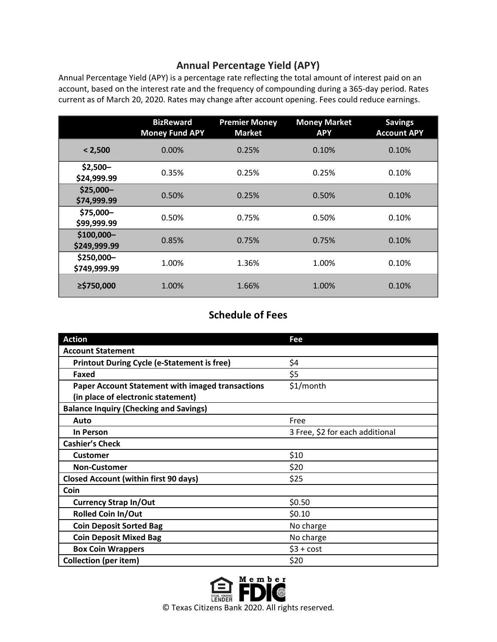#### **Annual Percentage Yield (APY)**

Annual Percentage Yield (APY) is a percentage rate reflecting the total amount of interest paid on an account, based on the interest rate and the frequency of compounding during a 365-day period. Rates current as of March 20, 2020. Rates may change after account opening. Fees could reduce earnings.

|                            | <b>BizReward</b><br><b>Money Fund APY</b> | <b>Premier Money</b><br><b>Market</b> | <b>Money Market</b><br><b>APY</b> | <b>Savings</b><br><b>Account APY</b> |
|----------------------------|-------------------------------------------|---------------------------------------|-----------------------------------|--------------------------------------|
| < 2,500                    | 0.00%                                     | 0.25%                                 | 0.10%                             | 0.10%                                |
| $$2,500-$<br>\$24,999.99   | 0.35%                                     | 0.25%                                 | 0.25%                             | 0.10%                                |
| $$25,000-$<br>\$74,999.99  | 0.50%                                     | 0.25%                                 | 0.50%                             | 0.10%                                |
| \$75,000-<br>\$99,999.99   | 0.50%                                     | 0.75%                                 | 0.50%                             | 0.10%                                |
| \$100,000-<br>\$249,999.99 | 0.85%                                     | 0.75%                                 | 0.75%                             | 0.10%                                |
| \$250,000-<br>\$749,999.99 | 1.00%                                     | 1.36%                                 | 1.00%                             | 0.10%                                |
| ≥\$750,000                 | 1.00%                                     | 1.66%                                 | 1.00%                             | 0.10%                                |

#### **Schedule of Fees**

| <b>Action</b>                                           | Fee                             |
|---------------------------------------------------------|---------------------------------|
| <b>Account Statement</b>                                |                                 |
| <b>Printout During Cycle (e-Statement is free)</b>      | \$4                             |
| Faxed                                                   | \$5                             |
| <b>Paper Account Statement with imaged transactions</b> | \$1/month                       |
| (in place of electronic statement)                      |                                 |
| <b>Balance Inquiry (Checking and Savings)</b>           |                                 |
| Auto                                                    | Free                            |
| In Person                                               | 3 Free, \$2 for each additional |
| <b>Cashier's Check</b>                                  |                                 |
| <b>Customer</b>                                         | \$10                            |
| <b>Non-Customer</b>                                     | \$20                            |
| <b>Closed Account (within first 90 days)</b>            | \$25                            |
| Coin                                                    |                                 |
| <b>Currency Strap In/Out</b>                            | \$0.50                          |
| <b>Rolled Coin In/Out</b>                               | \$0.10                          |
| <b>Coin Deposit Sorted Bag</b>                          | No charge                       |
| <b>Coin Deposit Mixed Bag</b>                           | No charge                       |
| <b>Box Coin Wrappers</b>                                | $$3 + cost$                     |
| <b>Collection (per item)</b>                            | \$20                            |

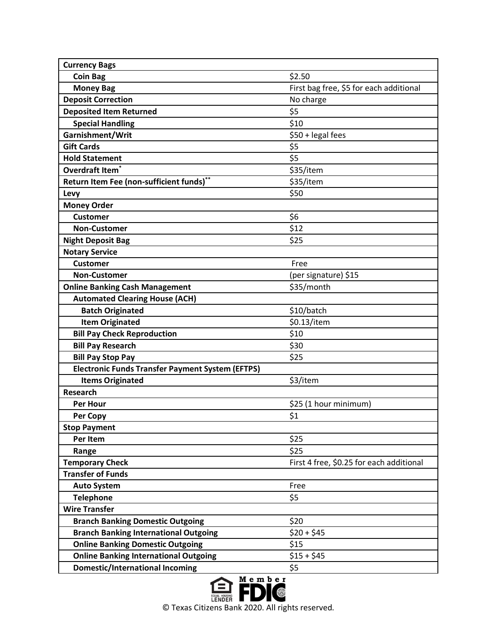| <b>Currency Bags</b>                                    |                                          |
|---------------------------------------------------------|------------------------------------------|
| <b>Coin Bag</b>                                         | \$2.50                                   |
| <b>Money Bag</b>                                        | First bag free, \$5 for each additional  |
| <b>Deposit Correction</b>                               | No charge                                |
| <b>Deposited Item Returned</b>                          | \$5                                      |
| <b>Special Handling</b>                                 | \$10                                     |
| Garnishment/Writ                                        | \$50 + legal fees                        |
| <b>Gift Cards</b>                                       | \$5                                      |
| <b>Hold Statement</b>                                   | \$5                                      |
| Overdraft Item <sup>®</sup>                             | \$35/item                                |
| Return Item Fee (non-sufficient funds)**                | \$35/item                                |
| Levy                                                    | \$50                                     |
| <b>Money Order</b>                                      |                                          |
| <b>Customer</b>                                         | \$6                                      |
| <b>Non-Customer</b>                                     | \$12                                     |
| <b>Night Deposit Bag</b>                                | \$25                                     |
| <b>Notary Service</b>                                   |                                          |
| <b>Customer</b>                                         | Free                                     |
| <b>Non-Customer</b>                                     | (per signature) \$15                     |
| <b>Online Banking Cash Management</b>                   | \$35/month                               |
| <b>Automated Clearing House (ACH)</b>                   |                                          |
| <b>Batch Originated</b>                                 | \$10/batch                               |
| <b>Item Originated</b>                                  | \$0.13/item                              |
| <b>Bill Pay Check Reproduction</b>                      | \$10                                     |
| <b>Bill Pay Research</b>                                | \$30                                     |
| <b>Bill Pay Stop Pay</b>                                | \$25                                     |
| <b>Electronic Funds Transfer Payment System (EFTPS)</b> |                                          |
| <b>Items Originated</b>                                 | \$3/item                                 |
| <b>Research</b>                                         |                                          |
| <b>Per Hour</b>                                         | \$25 (1 hour minimum)                    |
| Per Copy                                                | \$1                                      |
| <b>Stop Payment</b>                                     |                                          |
| Per Item                                                | \$25                                     |
| Range                                                   | \$25                                     |
| <b>Temporary Check</b>                                  | First 4 free, \$0.25 for each additional |
| <b>Transfer of Funds</b>                                |                                          |
| <b>Auto System</b>                                      | Free                                     |
| <b>Telephone</b>                                        | \$5                                      |
| <b>Wire Transfer</b>                                    |                                          |
| <b>Branch Banking Domestic Outgoing</b>                 | \$20                                     |
| <b>Branch Banking International Outgoing</b>            | $$20 + $45$                              |
| <b>Online Banking Domestic Outgoing</b>                 | \$15                                     |
| <b>Online Banking International Outgoing</b>            | $$15 + $45$                              |
| <b>Domestic/International Incoming</b>                  | \$5                                      |